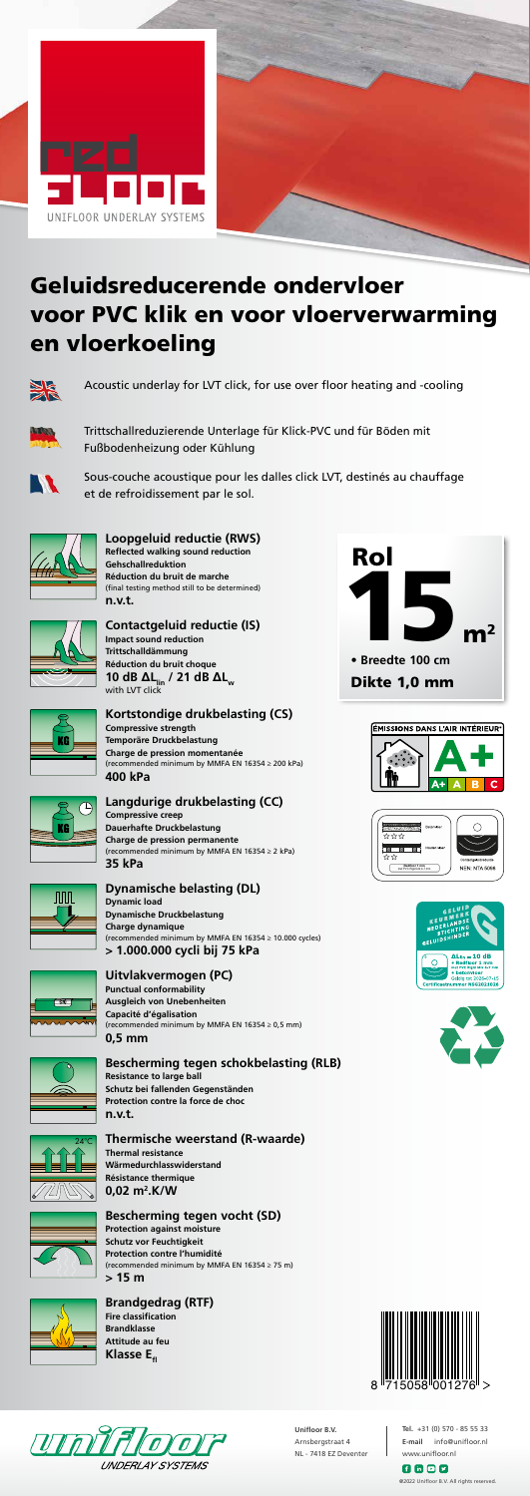#### **Loopgeluid reductie (RWS) Reflected walking sound reduction Gehschallreduktion Réduction du bruit de marche** (final testing method still to be determined) **n.v.t.**



**Contactgeluid reductie (IS) Impact sound reduction Trittschalldämmung Réduction du bruit choque 10 dB ΔL**<sub>lin</sub> / 21 dB **ΔL**<sub>w</sub> with LVT click



#### **Kortstondige drukbelasting (CS) Compressive strength**

**Temporäre Druckbelastung Charge de pression momentanée** (recommended minimum by MMFA EN 16354 ≥ 200 kPa) **400 kPa**

#### **Langdurige drukbelasting (CC)**

**Compressive creep Dauerhafte Druckbelastung Charge de pression permanente** (recommended minimum by MMFA EN 16354 ≥ 2 kPa) **35 kPa**



## **Dynamische belasting (DL)**

**Fire classification Brandklasse Attitude au feu Klasse E**<sub>fl</sub>

**Dynamic load Dynamische Druckbelastung Charge dynamique** (recommended minimum by MMFA EN 16354 ≥ 10.000 cycles) **> 1.000.000 cycli bij 75 kPa**



**Uitvlakvermogen (PC) Punctual conformability Ausgleich von Unebenheiten Capacité d'égalisation** (recommended minimum by MMFA EN 16354 ≥ 0,5 mm) **0,5 mm**



#### **Bescherming tegen schokbelasting (RLB)**

**Resistance to large ball Schutz bei fallenden Gegenständen Protection contre la force de choc n.v.t.**

> $f \circ g$ @2022 Unifloor B.V. All rights reserved.

#### **Thermische weerstand (R-waarde) Thermal resistance**

**Wärmedurchlasswiderstand Résistance thermique 0,02 m2 .K/W**



#### **Bescherming tegen vocht (SD) Protection against moisture**

**Schutz vor Feuchtigkeit Protection contre l'humidité** (recommended minimum by MMFA EN 16354 ≥ 75 m) **> 15 m**



# **Brandgedrag (RTF)**

















# Geluidsreducerende ondervloer voor PVC klik en voor vloerverwarming en vloerkoeling



Acoustic underlay for LVT click, for use over floor heating and -cooling



Trittschallreduzierende Unterlage für Klick-PVC und für Böden mit Fußbodenheizung oder Kühlung



Sous-couche acoustique pour les dalles click LVT, destinés au chauffage et de refroidissement par le sol.









**Tel.** +31 (0) 570 - 85 55 33 **E-mail** info@unifloor.nl www.unifloor.nl

**Unifloor B.V.** Arnsbergstraat 4 NL - 7418 EZ Deventer